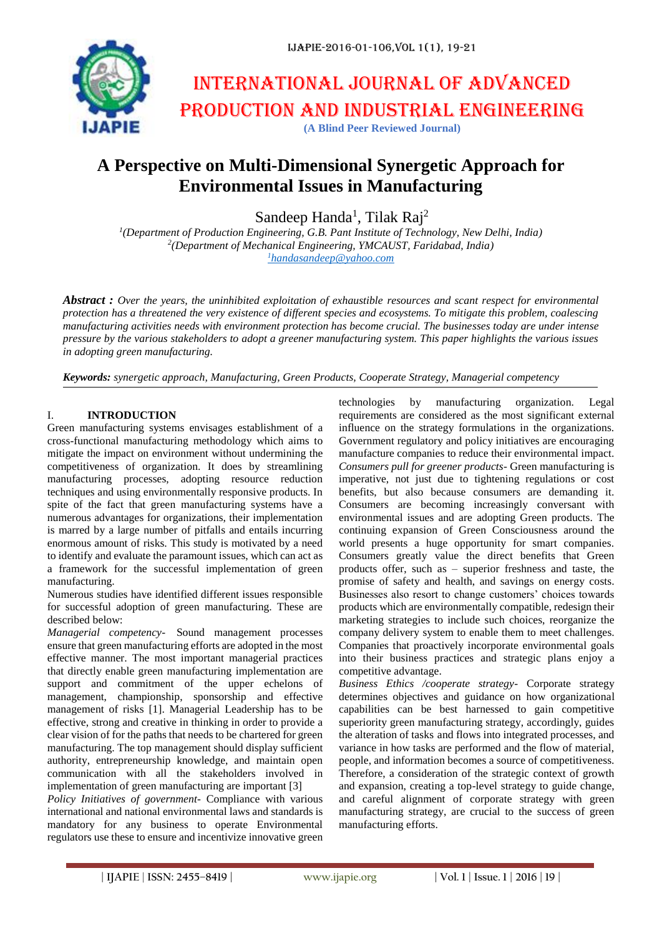

# International journal of advanced production and industrial engineering **(A Blind Peer Reviewed Journal)**

## **A Perspective on Multi-Dimensional Synergetic Approach for Environmental Issues in Manufacturing**

Sandeep Handa<sup>1</sup>, Tilak Raj<sup>2</sup>

*1 (Department of Production Engineering, G.B. Pant Institute of Technology, New Delhi, India) 2 (Department of Mechanical Engineering, YMCAUST, Faridabad, India) <sup>1</sup>[handasandeep@yahoo.com](mailto:1handasandeep@yahoo.com)*

*Abstract : Over the years, the uninhibited exploitation of exhaustible resources and scant respect for environmental protection has a threatened the very existence of different species and ecosystems. To mitigate this problem, coalescing manufacturing activities needs with environment protection has become crucial. The businesses today are under intense pressure by the various stakeholders to adopt a greener manufacturing system. This paper highlights the various issues in adopting green manufacturing.*

*Keywords: synergetic approach, Manufacturing, Green Products, Cooperate Strategy, Managerial competency*

#### I. **INTRODUCTION**

Green manufacturing systems envisages establishment of a cross-functional manufacturing methodology which aims to mitigate the impact on environment without undermining the competitiveness of organization. It does by streamlining manufacturing processes, adopting resource reduction techniques and using environmentally responsive products. In spite of the fact that green manufacturing systems have a numerous advantages for organizations, their implementation is marred by a large number of pitfalls and entails incurring enormous amount of risks. This study is motivated by a need to identify and evaluate the paramount issues, which can act as a framework for the successful implementation of green manufacturing.

Numerous studies have identified different issues responsible for successful adoption of green manufacturing. These are described below:

*Managerial competency-* Sound management processes ensure that green manufacturing efforts are adopted in the most effective manner. The most important managerial practices that directly enable green manufacturing implementation are support and commitment of the upper echelons of management, championship, sponsorship and effective management of risks [1]. Managerial Leadership has to be effective, strong and creative in thinking in order to provide a clear vision of for the paths that needs to be chartered for green manufacturing. The top management should display sufficient authority, entrepreneurship knowledge, and maintain open communication with all the stakeholders involved in implementation of green manufacturing are important [3]

*Policy Initiatives of government-* Compliance with various international and national environmental laws and standards is mandatory for any business to operate Environmental regulators use these to ensure and incentivize innovative green

technologies by manufacturing organization. Legal requirements are considered as the most significant external influence on the strategy formulations in the organizations. Government regulatory and policy initiatives are encouraging manufacture companies to reduce their environmental impact. *Consumers pull for greener products-* Green manufacturing is imperative, not just due to tightening regulations or cost benefits, but also because consumers are demanding it. Consumers are becoming increasingly conversant with environmental issues and are adopting Green products. The continuing expansion of Green Consciousness around the world presents a huge opportunity for smart companies. Consumers greatly value the direct benefits that Green products offer, such as – superior freshness and taste, the promise of safety and health, and savings on energy costs. Businesses also resort to change customers' choices towards products which are environmentally compatible, redesign their marketing strategies to include such choices, reorganize the company delivery system to enable them to meet challenges. Companies that proactively incorporate environmental goals into their business practices and strategic plans enjoy a competitive advantage.

*Business Ethics /cooperate strategy-* Corporate strategy determines objectives and guidance on how organizational capabilities can be best harnessed to gain competitive superiority green manufacturing strategy, accordingly, guides the alteration of tasks and flows into integrated processes, and variance in how tasks are performed and the flow of material, people, and information becomes a source of competitiveness. Therefore, a consideration of the strategic context of growth and expansion, creating a top-level strategy to guide change, and careful alignment of corporate strategy with green manufacturing strategy, are crucial to the success of green manufacturing efforts.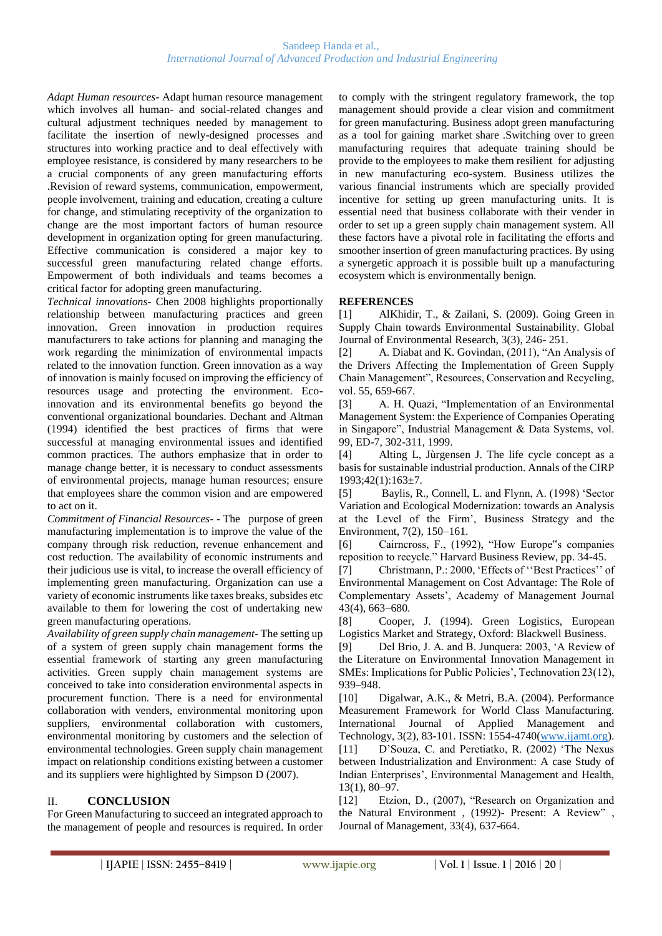*Adapt Human resources-* Adapt human resource management which involves all human- and social-related changes and cultural adjustment techniques needed by management to facilitate the insertion of newly-designed processes and structures into working practice and to deal effectively with employee resistance, is considered by many researchers to be a crucial components of any green manufacturing efforts .Revision of reward systems, communication, empowerment, people involvement, training and education, creating a culture for change, and stimulating receptivity of the organization to change are the most important factors of human resource development in organization opting for green manufacturing. Effective communication is considered a major key to successful green manufacturing related change efforts. Empowerment of both individuals and teams becomes a critical factor for adopting green manufacturing.

*Technical innovations-* Chen 2008 highlights proportionally relationship between manufacturing practices and green innovation. Green innovation in production requires manufacturers to take actions for planning and managing the work regarding the minimization of environmental impacts related to the innovation function. Green innovation as a way of innovation is mainly focused on improving the efficiency of resources usage and protecting the environment. Ecoinnovation and its environmental benefits go beyond the conventional organizational boundaries. Dechant and Altman (1994) identified the best practices of firms that were successful at managing environmental issues and identified common practices. The authors emphasize that in order to manage change better, it is necessary to conduct assessments of environmental projects, manage human resources; ensure that employees share the common vision and are empowered to act on it.

*Commitment of Financial Resources-* - The purpose of green manufacturing implementation is to improve the value of the company through risk reduction, revenue enhancement and cost reduction. The availability of economic instruments and their judicious use is vital, to increase the overall efficiency of implementing green manufacturing. Organization can use a variety of economic instruments like taxes breaks, subsides etc available to them for lowering the cost of undertaking new green manufacturing operations.

*Availability of green supply chain management-* The setting up of a system of green supply chain management forms the essential framework of starting any green manufacturing activities. Green supply chain management systems are conceived to take into consideration environmental aspects in procurement function. There is a need for environmental collaboration with venders, environmental monitoring upon suppliers, environmental collaboration with customers, environmental monitoring by customers and the selection of environmental technologies. Green supply chain management impact on relationship conditions existing between a customer and its suppliers were highlighted by Simpson D (2007).

### II. **CONCLUSION**

For Green Manufacturing to succeed an integrated approach to the management of people and resources is required. In order to comply with the stringent regulatory framework, the top management should provide a clear vision and commitment for green manufacturing. Business adopt green manufacturing as a tool for gaining market share .Switching over to green manufacturing requires that adequate training should be provide to the employees to make them resilient for adjusting in new manufacturing eco-system. Business utilizes the various financial instruments which are specially provided incentive for setting up green manufacturing units. It is essential need that business collaborate with their vender in order to set up a green supply chain management system. All these factors have a pivotal role in facilitating the efforts and smoother insertion of green manufacturing practices. By using a synergetic approach it is possible built up a manufacturing ecosystem which is environmentally benign.

#### **REFERENCES**

[1] AlKhidir, T., & Zailani, S. (2009). Going Green in Supply Chain towards Environmental Sustainability. Global Journal of Environmental Research, 3(3), 246- 251.

[2] A. Diabat and K. Govindan, (2011), "An Analysis of the Drivers Affecting the Implementation of Green Supply Chain Management", Resources, Conservation and Recycling, vol. 55, 659-667.

[3] A. H. Quazi, "Implementation of an Environmental Management System: the Experience of Companies Operating in Singapore", Industrial Management & Data Systems, vol. 99, ED-7, 302-311, 1999.

[4] Alting L, Jùrgensen J. The life cycle concept as a basis for sustainable industrial production. Annals of the CIRP 1993;42(1):163±7.

[5] Baylis, R., Connell, L. and Flynn, A. (1998) 'Sector Variation and Ecological Modernization: towards an Analysis at the Level of the Firm', Business Strategy and the Environment, 7(2), 150–161.

[6] Cairncross, F., (1992), "How Europe"s companies reposition to recycle." Harvard Business Review, pp. 34-45.

[7] Christmann, P.: 2000, 'Effects of ''Best Practices'' of Environmental Management on Cost Advantage: The Role of Complementary Assets', Academy of Management Journal 43(4), 663–680.

[8] Cooper, J. (1994). Green Logistics, European Logistics Market and Strategy, Oxford: Blackwell Business*.* 

[9] Del Brio, J. A. and B. Junquera: 2003, 'A Review of the Literature on Environmental Innovation Management in SMEs: Implications for Public Policies', Technovation 23(12), 939–948.

[10] Digalwar, A.K., & Metri, B.A. (2004). Performance Measurement Framework for World Class Manufacturing. International Journal of Applied Management and Technology, 3(2), 83-101. ISSN: 1554-4740[\(www.ijamt.org\)](http://www.ijamt.org/). [11] D'Souza, C. and Peretiatko, R. (2002) 'The Nexus between Industrialization and Environment: A case Study of Indian Enterprises', Environmental Management and Health, 13(1), 80–97.

[12] Etzion, D., (2007), "Research on Organization and the Natural Environment , (1992)- Present: A Review" , Journal of Management, 33(4), 637-664.